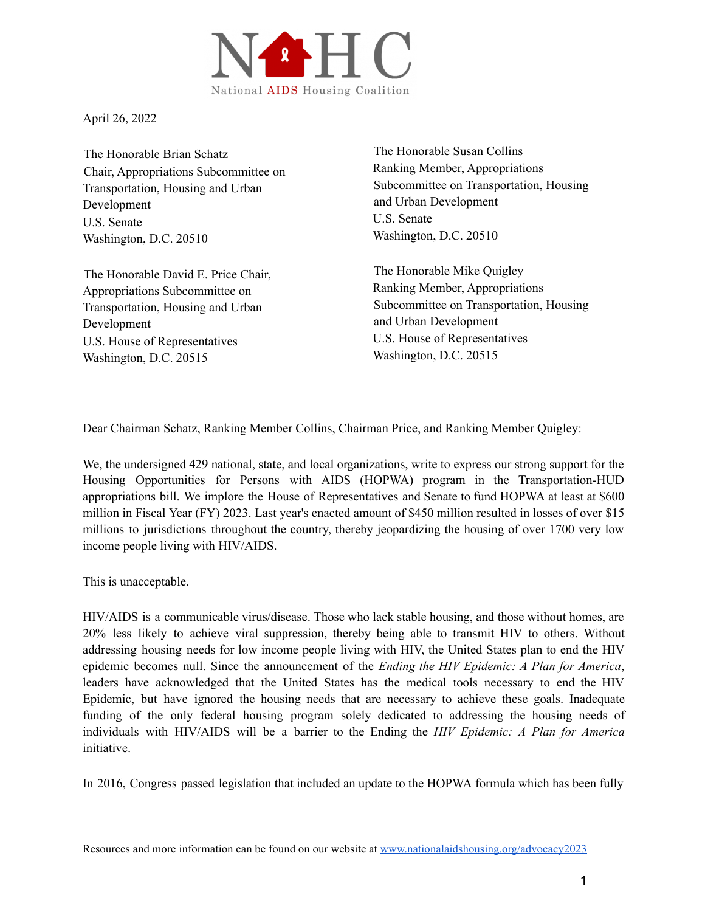

April 26, 2022

The Honorable Brian Schatz Chair, Appropriations Subcommittee on Transportation, Housing and Urban Development U.S. Senate Washington, D.C. 20510

The Honorable David E. Price Chair, Appropriations Subcommittee on Transportation, Housing and Urban Development U.S. House of Representatives Washington, D.C. 20515

The Honorable Susan Collins Ranking Member, Appropriations Subcommittee on Transportation, Housing and Urban Development U.S. Senate Washington, D.C. 20510

The Honorable Mike Quigley Ranking Member, Appropriations Subcommittee on Transportation, Housing and Urban Development U.S. House of Representatives Washington, D.C. 20515

Dear Chairman Schatz, Ranking Member Collins, Chairman Price, and Ranking Member Quigley:

We, the undersigned 429 national, state, and local organizations, write to express our strong support for the Housing Opportunities for Persons with AIDS (HOPWA) program in the Transportation-HUD appropriations bill. We implore the House of Representatives and Senate to fund HOPWA at least at \$600 million in Fiscal Year (FY) 2023. Last year's enacted amount of \$450 million resulted in losses of over \$15 millions to jurisdictions throughout the country, thereby jeopardizing the housing of over 1700 very low income people living with HIV/AIDS.

This is unacceptable.

HIV/AIDS is a communicable virus/disease. Those who lack stable housing, and those without homes, are 20% less likely to achieve viral suppression, thereby being able to transmit HIV to others. Without addressing housing needs for low income people living with HIV, the United States plan to end the HIV epidemic becomes null. Since the announcement of the *Ending the HIV Epidemic: A Plan for America*, leaders have acknowledged that the United States has the medical tools necessary to end the HIV Epidemic, but have ignored the housing needs that are necessary to achieve these goals. Inadequate funding of the only federal housing program solely dedicated to addressing the housing needs of individuals with HIV/AIDS will be a barrier to the Ending the *HIV Epidemic: A Plan for America* initiative.

In 2016, Congress passed legislation that included an update to the HOPWA formula which has been fully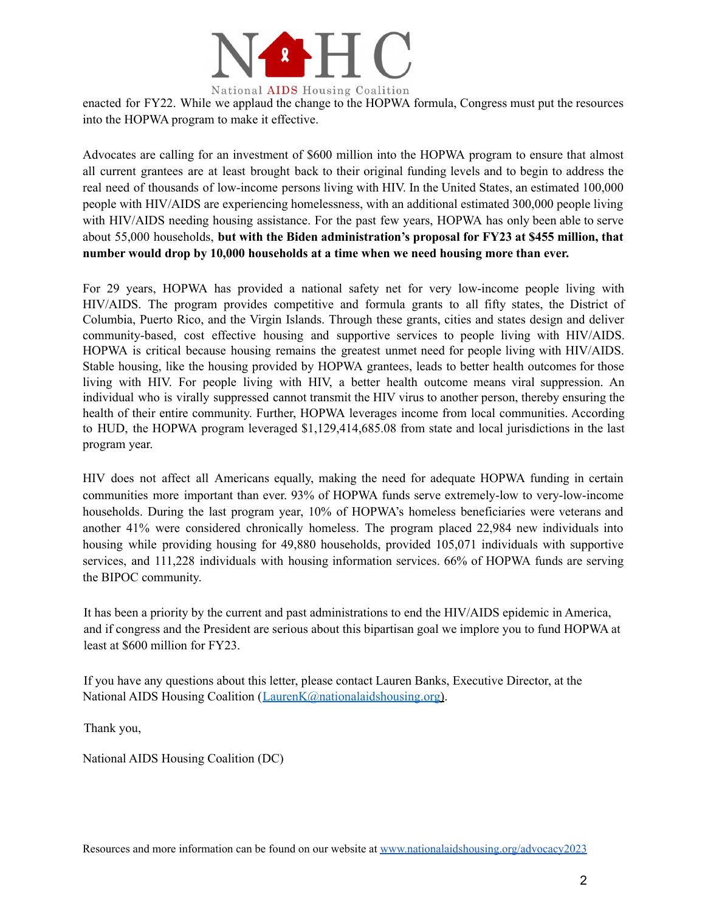

enacted for FY22. While we applaud the change to the HOPWA formula, Congress must put the resources into the HOPWA program to make it effective.

Advocates are calling for an investment of \$600 million into the HOPWA program to ensure that almost all current grantees are at least brought back to their original funding levels and to begin to address the real need of thousands of low-income persons living with HIV. In the United States, an estimated 100,000 people with HIV/AIDS are experiencing homelessness, with an additional estimated 300,000 people living with HIV/AIDS needing housing assistance. For the past few years, HOPWA has only been able to serve about 55,000 households, **but with the Biden administration's proposal for FY23 at \$455 million, that number would drop by 10,000 households at a time when we need housing more than ever.**

For 29 years, HOPWA has provided a national safety net for very low-income people living with HIV/AIDS. The program provides competitive and formula grants to all fifty states, the District of Columbia, Puerto Rico, and the Virgin Islands. Through these grants, cities and states design and deliver community-based, cost effective housing and supportive services to people living with HIV/AIDS. HOPWA is critical because housing remains the greatest unmet need for people living with HIV/AIDS. Stable housing, like the housing provided by HOPWA grantees, leads to better health outcomes for those living with HIV. For people living with HIV, a better health outcome means viral suppression. An individual who is virally suppressed cannot transmit the HIV virus to another person, thereby ensuring the health of their entire community. Further, HOPWA leverages income from local communities. According to HUD, the HOPWA program leveraged \$1,129,414,685.08 from state and local jurisdictions in the last program year.

HIV does not affect all Americans equally, making the need for adequate HOPWA funding in certain communities more important than ever. 93% of HOPWA funds serve extremely-low to very-low-income households. During the last program year, 10% of HOPWA's homeless beneficiaries were veterans and another 41% were considered chronically homeless. The program placed 22,984 new individuals into housing while providing housing for 49,880 households, provided 105,071 individuals with supportive services, and 111,228 individuals with housing information services. 66% of HOPWA funds are serving the BIPOC community.

It has been a priority by the current and past administrations to end the HIV/AIDS epidemic in America, and if congress and the President are serious about this bipartisan goal we implore you to fund HOPWA at least at \$600 million for FY23.

If you have any questions about this letter, please contact Lauren Banks, Executive Director, at the National AIDS Housing Coalition (LaurenK@nationalaidshousing.org).

Thank you,

National AIDS Housing Coalition (DC)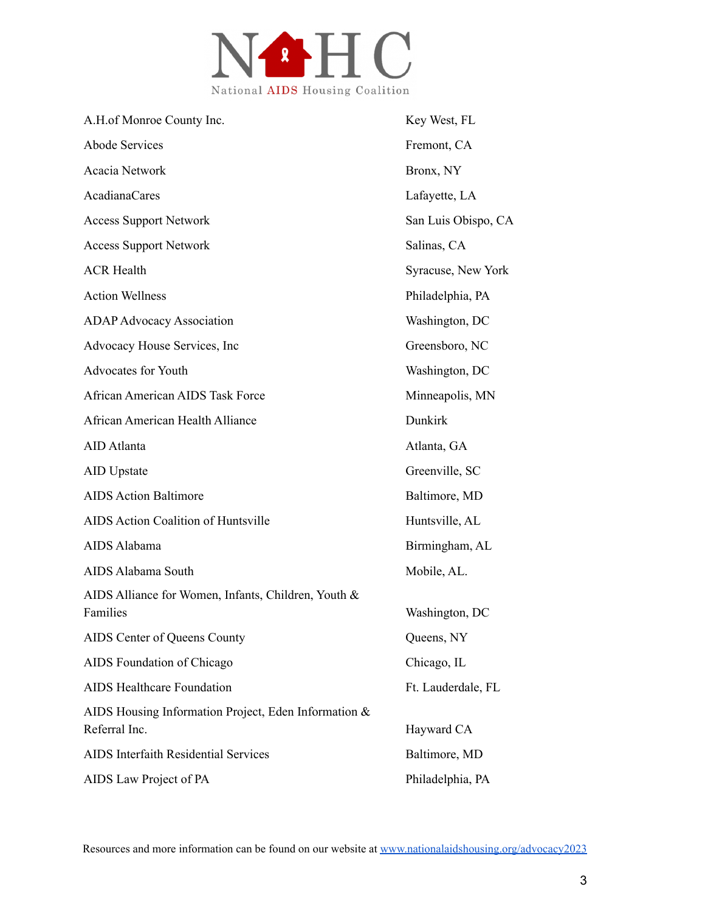

| A.H.of Monroe County Inc.                                             | Key West, FL        |
|-----------------------------------------------------------------------|---------------------|
| <b>Abode Services</b>                                                 | Fremont, CA         |
| Acacia Network                                                        | Bronx, NY           |
| <b>AcadianaCares</b>                                                  | Lafayette, LA       |
| <b>Access Support Network</b>                                         | San Luis Obispo, CA |
| <b>Access Support Network</b>                                         | Salinas, CA         |
| <b>ACR Health</b>                                                     | Syracuse, New York  |
| <b>Action Wellness</b>                                                | Philadelphia, PA    |
| <b>ADAP Advocacy Association</b>                                      | Washington, DC      |
| Advocacy House Services, Inc                                          | Greensboro, NC      |
| <b>Advocates for Youth</b>                                            | Washington, DC      |
| <b>African American AIDS Task Force</b>                               | Minneapolis, MN     |
| African American Health Alliance                                      | Dunkirk             |
| AID Atlanta                                                           | Atlanta, GA         |
| <b>AID</b> Upstate                                                    | Greenville, SC      |
| <b>AIDS Action Baltimore</b>                                          | Baltimore, MD       |
| <b>AIDS Action Coalition of Huntsville</b>                            | Huntsville, AL      |
| AIDS Alabama                                                          | Birmingham, AL      |
| AIDS Alabama South                                                    | Mobile, AL.         |
| AIDS Alliance for Women, Infants, Children, Youth &<br>Families       | Washington, DC      |
| AIDS Center of Queens County                                          | Queens, NY          |
| AIDS Foundation of Chicago                                            | Chicago, IL         |
| <b>AIDS Healthcare Foundation</b>                                     | Ft. Lauderdale, FL  |
| AIDS Housing Information Project, Eden Information &<br>Referral Inc. | Hayward CA          |
| <b>AIDS</b> Interfaith Residential Services                           | Baltimore, MD       |
| AIDS Law Project of PA                                                | Philadelphia, PA    |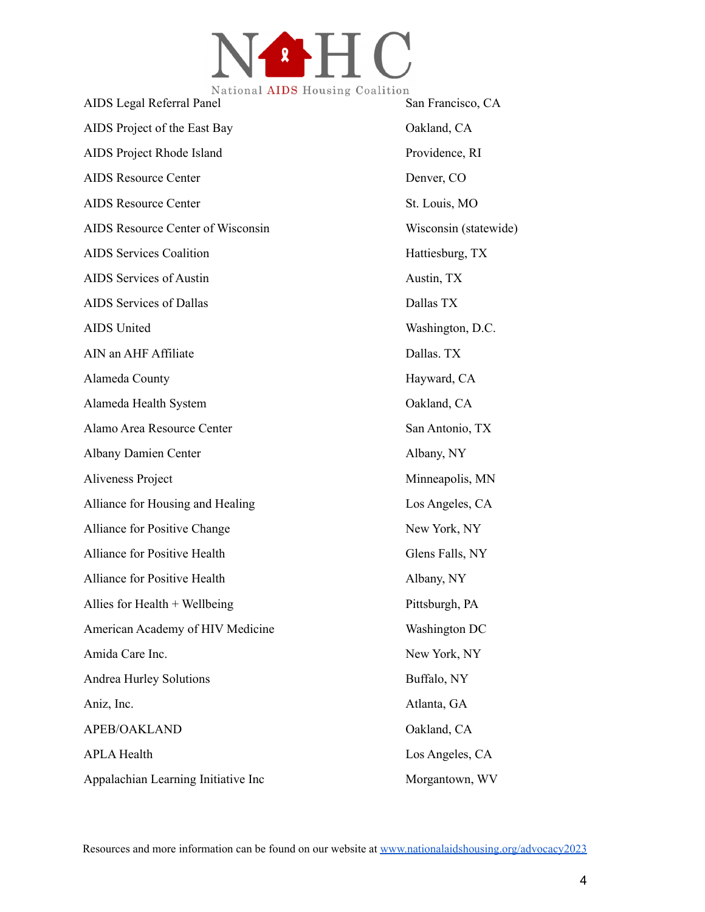

| Ivational AIDD flousing Coafferon<br>AIDS Legal Referral Panel | San Francisco, CA     |
|----------------------------------------------------------------|-----------------------|
| AIDS Project of the East Bay                                   | Oakland, CA           |
| AIDS Project Rhode Island                                      | Providence, RI        |
| <b>AIDS Resource Center</b>                                    | Denver, CO            |
| <b>AIDS Resource Center</b>                                    | St. Louis, MO         |
| AIDS Resource Center of Wisconsin                              | Wisconsin (statewide) |
| <b>AIDS Services Coalition</b>                                 | Hattiesburg, TX       |
| <b>AIDS</b> Services of Austin                                 | Austin, TX            |
| AIDS Services of Dallas                                        | Dallas TX             |
| <b>AIDS</b> United                                             | Washington, D.C.      |
| AIN an AHF Affiliate                                           | Dallas. TX            |
| Alameda County                                                 | Hayward, CA           |
| Alameda Health System                                          | Oakland, CA           |
| Alamo Area Resource Center                                     | San Antonio, TX       |
| <b>Albany Damien Center</b>                                    | Albany, NY            |
| Aliveness Project                                              | Minneapolis, MN       |
| Alliance for Housing and Healing                               | Los Angeles, CA       |
| Alliance for Positive Change                                   | New York, NY          |
| Alliance for Positive Health                                   | Glens Falls, NY       |
| Alliance for Positive Health                                   | Albany, NY            |
| Allies for Health + Wellbeing                                  | Pittsburgh, PA        |
| American Academy of HIV Medicine                               | Washington DC         |
| Amida Care Inc.                                                | New York, NY          |
| <b>Andrea Hurley Solutions</b>                                 | Buffalo, NY           |
| Aniz, Inc.                                                     | Atlanta, GA           |
| APEB/OAKLAND                                                   | Oakland, CA           |
| <b>APLA Health</b>                                             | Los Angeles, CA       |
| Appalachian Learning Initiative Inc                            | Morgantown, WV        |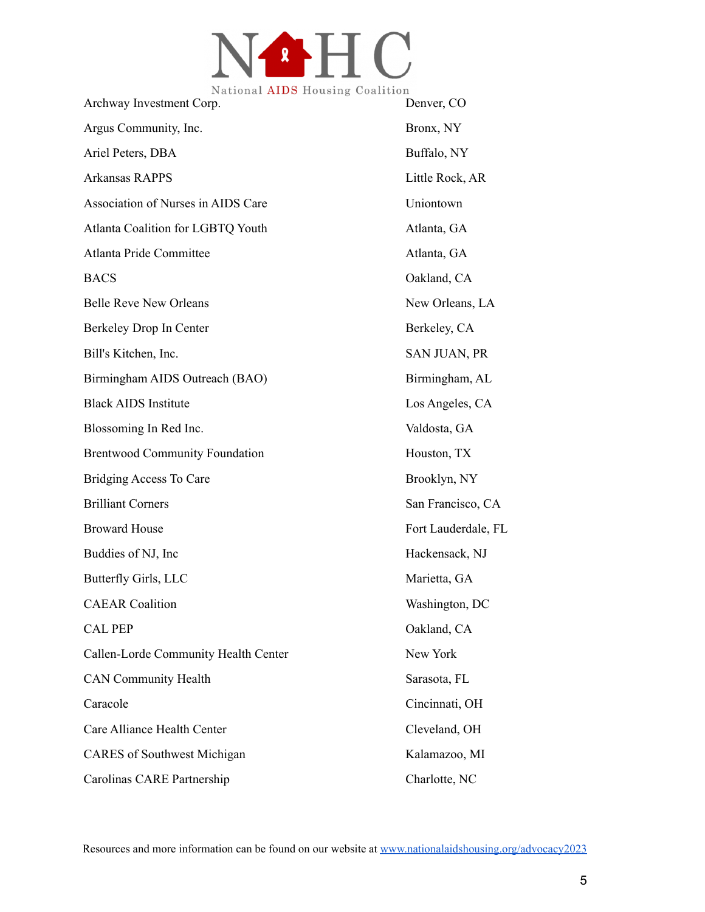

| Ivational <b>AIDS</b> Housing Coalition<br>Archway Investment Corp. | Denver, CO          |
|---------------------------------------------------------------------|---------------------|
| Argus Community, Inc.                                               | Bronx, NY           |
| Ariel Peters, DBA                                                   | Buffalo, NY         |
| <b>Arkansas RAPPS</b>                                               | Little Rock, AR     |
| Association of Nurses in AIDS Care                                  | Uniontown           |
| Atlanta Coalition for LGBTQ Youth                                   | Atlanta, GA         |
| Atlanta Pride Committee                                             | Atlanta, GA         |
| <b>BACS</b>                                                         | Oakland, CA         |
| <b>Belle Reve New Orleans</b>                                       | New Orleans, LA     |
| Berkeley Drop In Center                                             | Berkeley, CA        |
| Bill's Kitchen, Inc.                                                | SAN JUAN, PR        |
| Birmingham AIDS Outreach (BAO)                                      | Birmingham, AL      |
| <b>Black AIDS Institute</b>                                         | Los Angeles, CA     |
| Blossoming In Red Inc.                                              | Valdosta, GA        |
| <b>Brentwood Community Foundation</b>                               | Houston, TX         |
| <b>Bridging Access To Care</b>                                      | Brooklyn, NY        |
| <b>Brilliant Corners</b>                                            | San Francisco, CA   |
| <b>Broward House</b>                                                | Fort Lauderdale, FL |
| Buddies of NJ, Inc.                                                 | Hackensack, NJ      |
| Butterfly Girls, LLC                                                | Marietta, GA        |
| <b>CAEAR</b> Coalition                                              | Washington, DC      |
| <b>CAL PEP</b>                                                      | Oakland, CA         |
| Callen-Lorde Community Health Center                                | New York            |
| <b>CAN Community Health</b>                                         | Sarasota, FL        |
| Caracole                                                            | Cincinnati, OH      |
| Care Alliance Health Center                                         | Cleveland, OH       |
| <b>CARES</b> of Southwest Michigan                                  | Kalamazoo, MI       |
| Carolinas CARE Partnership                                          | Charlotte, NC       |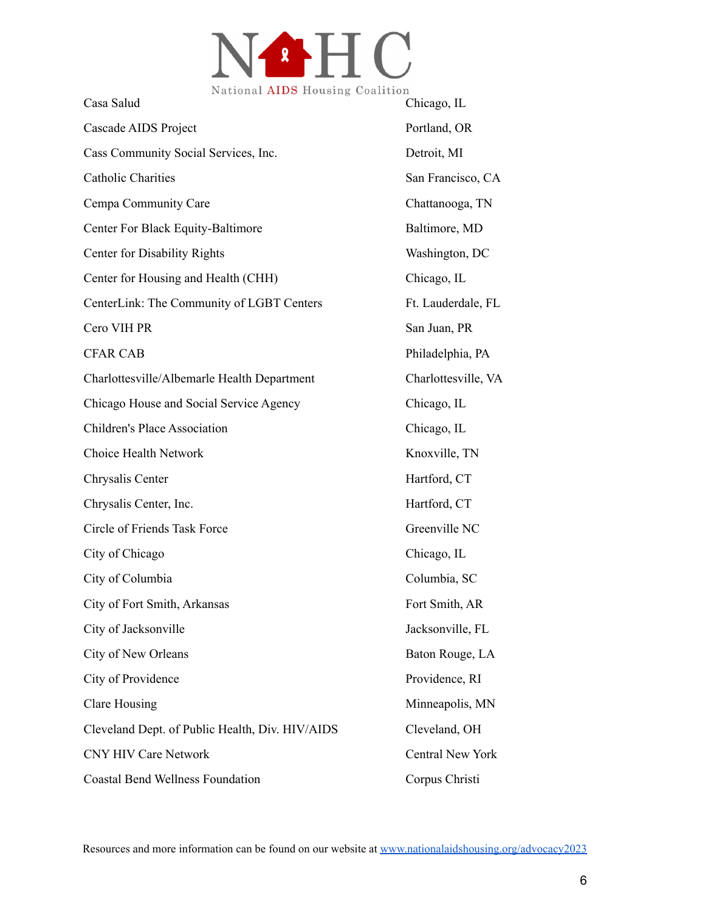

| Casa Salud                                      | Chicago, IL         |
|-------------------------------------------------|---------------------|
| Cascade AIDS Project                            | Portland, OR        |
| Cass Community Social Services, Inc.            | Detroit, MI         |
| <b>Catholic Charities</b>                       | San Francisco, CA   |
| Cempa Community Care                            | Chattanooga, TN     |
| Center For Black Equity-Baltimore               | Baltimore, MD       |
| <b>Center for Disability Rights</b>             | Washington, DC      |
| Center for Housing and Health (CHH)             | Chicago, IL         |
| CenterLink: The Community of LGBT Centers       | Ft. Lauderdale, FL  |
| Cero VIH PR                                     | San Juan, PR        |
| <b>CFAR CAB</b>                                 | Philadelphia, PA    |
| Charlottesville/Albemarle Health Department     | Charlottesville, VA |
| Chicago House and Social Service Agency         | Chicago, IL         |
| Children's Place Association                    | Chicago, IL         |
| Choice Health Network                           | Knoxville, TN       |
| Chrysalis Center                                | Hartford, CT        |
| Chrysalis Center, Inc.                          | Hartford, CT        |
| Circle of Friends Task Force                    | Greenville NC       |
| City of Chicago                                 | Chicago, IL         |
| City of Columbia                                | Columbia, SC        |
| City of Fort Smith, Arkansas                    | Fort Smith, AR      |
| City of Jacksonville                            | Jacksonville, FL    |
| City of New Orleans                             | Baton Rouge, LA     |
| City of Providence                              | Providence, RI      |
| <b>Clare Housing</b>                            | Minneapolis, MN     |
| Cleveland Dept. of Public Health, Div. HIV/AIDS | Cleveland, OH       |
| <b>CNY HIV Care Network</b>                     | Central New York    |
| <b>Coastal Bend Wellness Foundation</b>         | Corpus Christi      |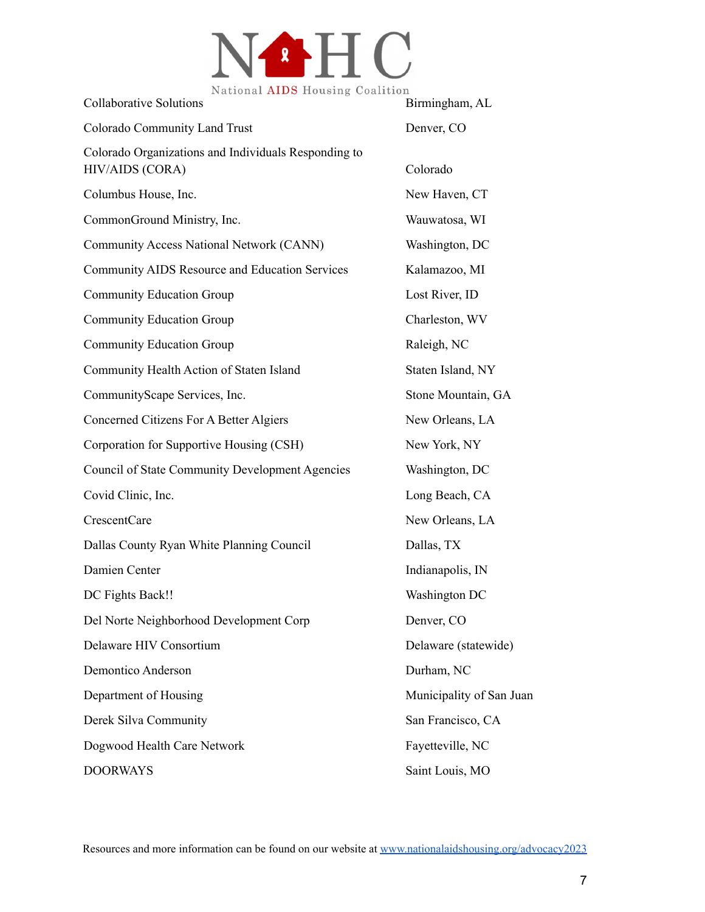

| National AIDS Housing Coalition<br><b>Collaborative Solutions</b>       | Birmingham, AL           |
|-------------------------------------------------------------------------|--------------------------|
| <b>Colorado Community Land Trust</b>                                    | Denver, CO               |
| Colorado Organizations and Individuals Responding to<br>HIV/AIDS (CORA) | Colorado                 |
| Columbus House, Inc.                                                    | New Haven, CT            |
| CommonGround Ministry, Inc.                                             | Wauwatosa, WI            |
| Community Access National Network (CANN)                                | Washington, DC           |
| <b>Community AIDS Resource and Education Services</b>                   | Kalamazoo, MI            |
| <b>Community Education Group</b>                                        | Lost River, ID           |
| <b>Community Education Group</b>                                        | Charleston, WV           |
| <b>Community Education Group</b>                                        | Raleigh, NC              |
| Community Health Action of Staten Island                                | Staten Island, NY        |
| CommunityScape Services, Inc.                                           | Stone Mountain, GA       |
| Concerned Citizens For A Better Algiers                                 | New Orleans, LA          |
| Corporation for Supportive Housing (CSH)                                | New York, NY             |
| <b>Council of State Community Development Agencies</b>                  | Washington, DC           |
| Covid Clinic, Inc.                                                      | Long Beach, CA           |
| CrescentCare                                                            | New Orleans, LA          |
| Dallas County Ryan White Planning Council                               | Dallas, TX               |
| Damien Center                                                           | Indianapolis, IN         |
| DC Fights Back!!                                                        | Washington DC            |
| Del Norte Neighborhood Development Corp                                 | Denver, CO               |
| Delaware HIV Consortium                                                 | Delaware (statewide)     |
| <b>Demontico Anderson</b>                                               | Durham, NC               |
| Department of Housing                                                   | Municipality of San Juan |
| Derek Silva Community                                                   | San Francisco, CA        |
| Dogwood Health Care Network                                             | Fayetteville, NC         |
| <b>DOORWAYS</b>                                                         | Saint Louis, MO          |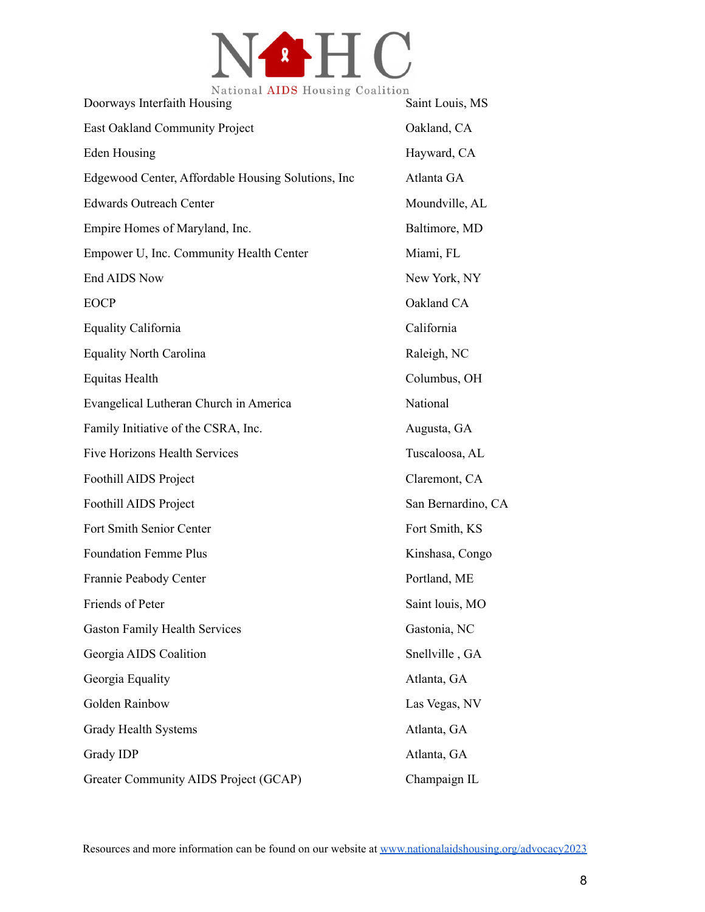

| National AIDS Housing Coalition<br>Doorways Interfaith Housing | Saint Louis, MS    |
|----------------------------------------------------------------|--------------------|
| <b>East Oakland Community Project</b>                          | Oakland, CA        |
| Eden Housing                                                   | Hayward, CA        |
| Edgewood Center, Affordable Housing Solutions, Inc             | Atlanta GA         |
| <b>Edwards Outreach Center</b>                                 | Moundville, AL     |
| Empire Homes of Maryland, Inc.                                 | Baltimore, MD      |
| Empower U, Inc. Community Health Center                        | Miami, FL          |
| End AIDS Now                                                   | New York, NY       |
| <b>EOCP</b>                                                    | Oakland CA         |
| <b>Equality California</b>                                     | California         |
| <b>Equality North Carolina</b>                                 | Raleigh, NC        |
| <b>Equitas Health</b>                                          | Columbus, OH       |
| Evangelical Lutheran Church in America                         | National           |
| Family Initiative of the CSRA, Inc.                            | Augusta, GA        |
| Five Horizons Health Services                                  | Tuscaloosa, AL     |
| Foothill AIDS Project                                          | Claremont, CA      |
| Foothill AIDS Project                                          | San Bernardino, CA |
| Fort Smith Senior Center                                       | Fort Smith, KS     |
| <b>Foundation Femme Plus</b>                                   | Kinshasa, Congo    |
| Frannie Peabody Center                                         | Portland, ME       |
| Friends of Peter                                               | Saint louis, MO    |
| <b>Gaston Family Health Services</b>                           | Gastonia, NC       |
| Georgia AIDS Coalition                                         | Snellville, GA     |
| Georgia Equality                                               | Atlanta, GA        |
| Golden Rainbow                                                 | Las Vegas, NV      |
| <b>Grady Health Systems</b>                                    | Atlanta, GA        |
| Grady IDP                                                      | Atlanta, GA        |
| Greater Community AIDS Project (GCAP)                          | Champaign IL       |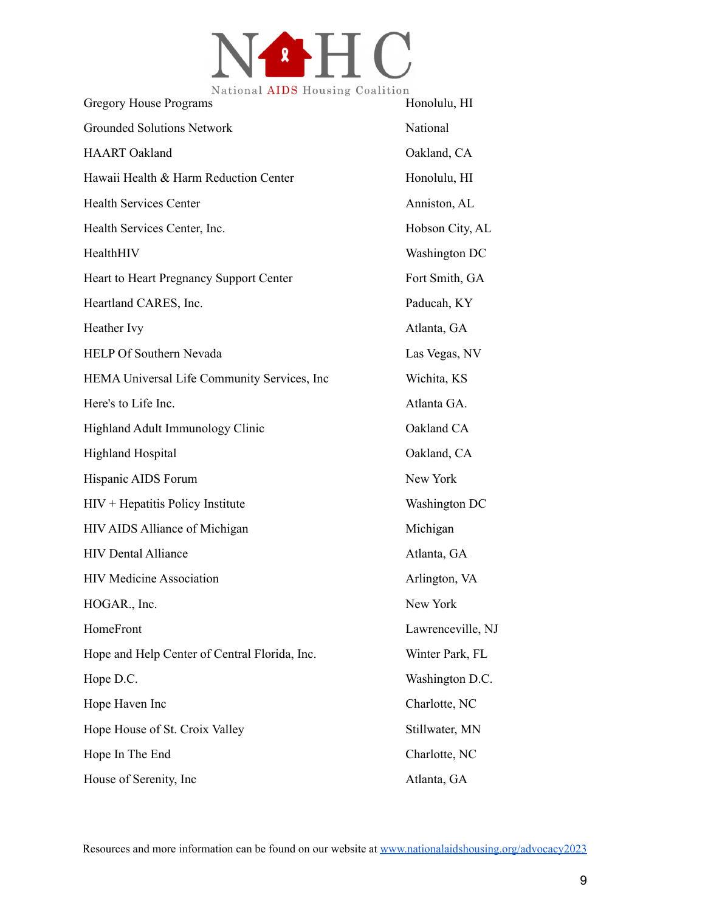

| <b>Gregory House Programs</b>                 | Honolulu, HI      |
|-----------------------------------------------|-------------------|
| <b>Grounded Solutions Network</b>             | National          |
| <b>HAART</b> Oakland                          | Oakland, CA       |
| Hawaii Health & Harm Reduction Center         | Honolulu, HI      |
| <b>Health Services Center</b>                 | Anniston, AL      |
| Health Services Center, Inc.                  | Hobson City, AL   |
| HealthHIV                                     | Washington DC     |
| Heart to Heart Pregnancy Support Center       | Fort Smith, GA    |
| Heartland CARES, Inc.                         | Paducah, KY       |
| Heather Ivy                                   | Atlanta, GA       |
| <b>HELP Of Southern Nevada</b>                | Las Vegas, NV     |
| HEMA Universal Life Community Services, Inc.  | Wichita, KS       |
| Here's to Life Inc.                           | Atlanta GA.       |
| Highland Adult Immunology Clinic              | Oakland CA        |
| <b>Highland Hospital</b>                      | Oakland, CA       |
| Hispanic AIDS Forum                           | New York          |
| $HIV + Hepatitis Policy Institute$            | Washington DC     |
| HIV AIDS Alliance of Michigan                 | Michigan          |
| <b>HIV Dental Alliance</b>                    | Atlanta, GA       |
| <b>HIV Medicine Association</b>               | Arlington, VA     |
| HOGAR., Inc.                                  | New York          |
| HomeFront                                     | Lawrenceville, NJ |
| Hope and Help Center of Central Florida, Inc. | Winter Park, FL   |
| Hope D.C.                                     | Washington D.C.   |
| Hope Haven Inc                                | Charlotte, NC     |
| Hope House of St. Croix Valley                | Stillwater, MN    |
| Hope In The End                               | Charlotte, NC     |
| House of Serenity, Inc.                       | Atlanta, GA       |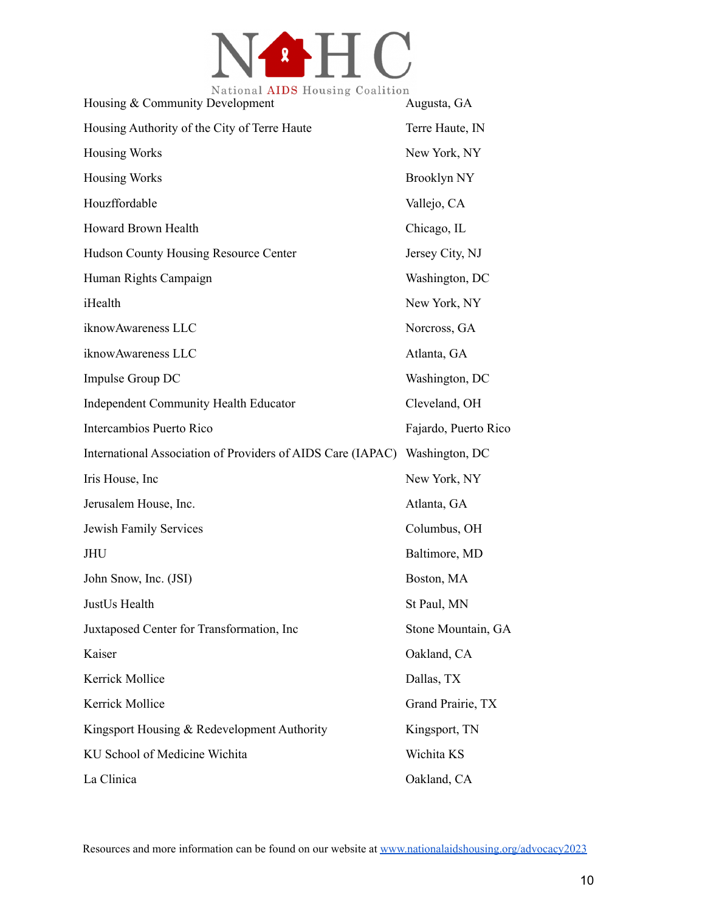

| Ivational <b>AID</b> O Housing Coantrol<br>Housing & Community Development | Augusta, GA          |
|----------------------------------------------------------------------------|----------------------|
| Housing Authority of the City of Terre Haute                               | Terre Haute, IN      |
| <b>Housing Works</b>                                                       | New York, NY         |
| <b>Housing Works</b>                                                       | <b>Brooklyn NY</b>   |
| Houzffordable                                                              | Vallejo, CA          |
| Howard Brown Health                                                        | Chicago, IL          |
| Hudson County Housing Resource Center                                      | Jersey City, NJ      |
| Human Rights Campaign                                                      | Washington, DC       |
| iHealth                                                                    | New York, NY         |
| iknowAwareness LLC                                                         | Norcross, GA         |
| iknowAwareness LLC                                                         | Atlanta, GA          |
| Impulse Group DC                                                           | Washington, DC       |
| <b>Independent Community Health Educator</b>                               | Cleveland, OH        |
| Intercambios Puerto Rico                                                   | Fajardo, Puerto Rico |
| International Association of Providers of AIDS Care (IAPAC)                | Washington, DC       |
| Iris House, Inc.                                                           | New York, NY         |
| Jerusalem House, Inc.                                                      | Atlanta, GA          |
| Jewish Family Services                                                     | Columbus, OH         |
| <b>JHU</b>                                                                 | Baltimore, MD        |
| John Snow, Inc. (JSI)                                                      | Boston, MA           |
| JustUs Health                                                              | St Paul, MN          |
| Juxtaposed Center for Transformation, Inc                                  | Stone Mountain, GA   |
| Kaiser                                                                     | Oakland, CA          |
| Kerrick Mollice                                                            | Dallas, TX           |
| Kerrick Mollice                                                            | Grand Prairie, TX    |
| Kingsport Housing & Redevelopment Authority                                | Kingsport, TN        |
| KU School of Medicine Wichita                                              | Wichita KS           |
| La Clinica                                                                 | Oakland, CA          |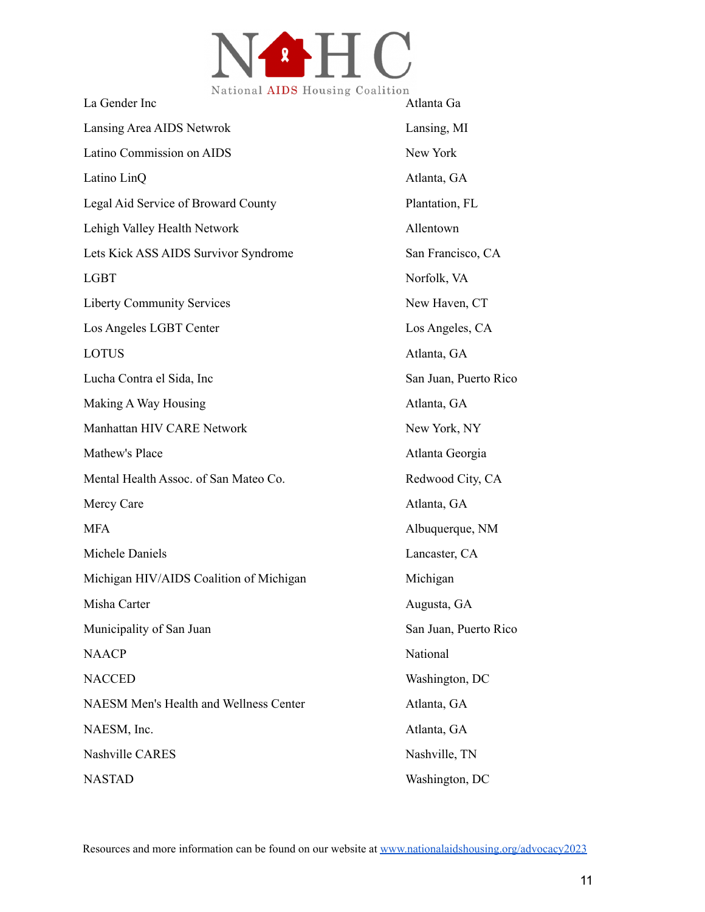

| La Gender Inc                                 | Atlanta Ga            |
|-----------------------------------------------|-----------------------|
| Lansing Area AIDS Netwrok                     | Lansing, MI           |
| Latino Commission on AIDS                     | New York              |
| Latino LinQ                                   | Atlanta, GA           |
| Legal Aid Service of Broward County           | Plantation, FL        |
| Lehigh Valley Health Network                  | Allentown             |
| Lets Kick ASS AIDS Survivor Syndrome          | San Francisco, CA     |
| <b>LGBT</b>                                   | Norfolk, VA           |
| <b>Liberty Community Services</b>             | New Haven, CT         |
| Los Angeles LGBT Center                       | Los Angeles, CA       |
| <b>LOTUS</b>                                  | Atlanta, GA           |
| Lucha Contra el Sida, Inc                     | San Juan, Puerto Rico |
| Making A Way Housing                          | Atlanta, GA           |
| Manhattan HIV CARE Network                    | New York, NY          |
| Mathew's Place                                | Atlanta Georgia       |
| Mental Health Assoc. of San Mateo Co.         | Redwood City, CA      |
| Mercy Care                                    | Atlanta, GA           |
| <b>MFA</b>                                    | Albuquerque, NM       |
| Michele Daniels                               | Lancaster, CA         |
| Michigan HIV/AIDS Coalition of Michigan       | Michigan              |
| Misha Carter                                  | Augusta, GA           |
| Municipality of San Juan                      | San Juan, Puerto Rico |
| <b>NAACP</b>                                  | National              |
| <b>NACCED</b>                                 | Washington, DC        |
| <b>NAESM Men's Health and Wellness Center</b> | Atlanta, GA           |
| NAESM, Inc.                                   | Atlanta, GA           |
| <b>Nashville CARES</b>                        | Nashville, TN         |
| <b>NASTAD</b>                                 | Washington, DC        |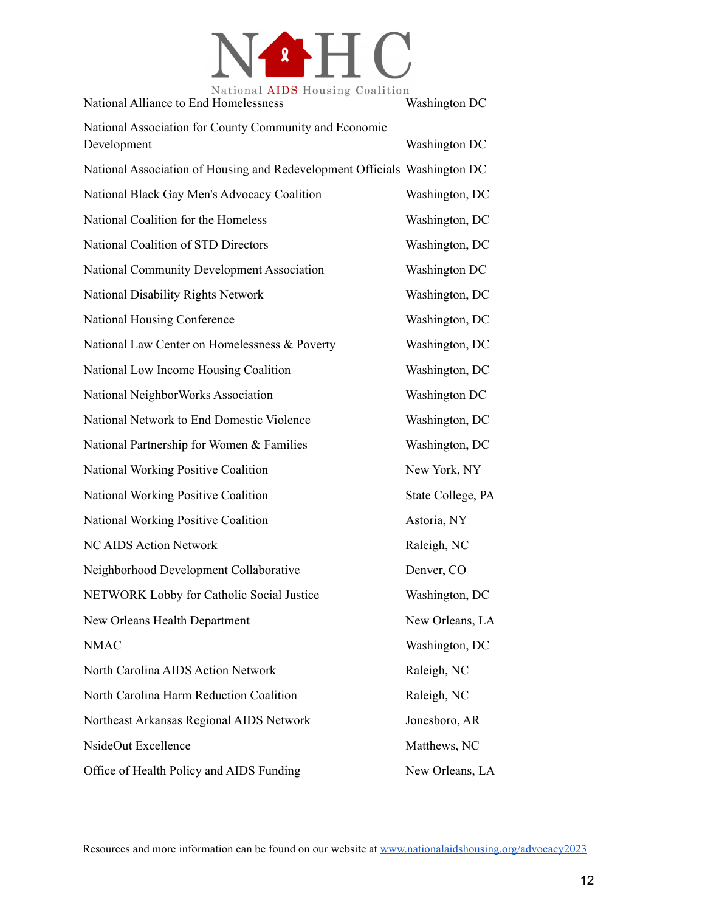

| Ivational AIDD flousing Coafferon<br>National Alliance to End Homelessness | Washington DC     |
|----------------------------------------------------------------------------|-------------------|
| National Association for County Community and Economic<br>Development      | Washington DC     |
| National Association of Housing and Redevelopment Officials Washington DC  |                   |
| National Black Gay Men's Advocacy Coalition                                | Washington, DC    |
| National Coalition for the Homeless                                        | Washington, DC    |
| National Coalition of STD Directors                                        | Washington, DC    |
| National Community Development Association                                 | Washington DC     |
| National Disability Rights Network                                         | Washington, DC    |
| National Housing Conference                                                | Washington, DC    |
| National Law Center on Homelessness & Poverty                              | Washington, DC    |
| National Low Income Housing Coalition                                      | Washington, DC    |
| National NeighborWorks Association                                         | Washington DC     |
| National Network to End Domestic Violence                                  | Washington, DC    |
| National Partnership for Women & Families                                  | Washington, DC    |
| National Working Positive Coalition                                        | New York, NY      |
| National Working Positive Coalition                                        | State College, PA |
| National Working Positive Coalition                                        | Astoria, NY       |
| <b>NC AIDS Action Network</b>                                              | Raleigh, NC       |
| Neighborhood Development Collaborative                                     | Denver, CO        |
| NETWORK Lobby for Catholic Social Justice                                  | Washington, DC    |
| New Orleans Health Department                                              | New Orleans, LA   |
| <b>NMAC</b>                                                                | Washington, DC    |
| North Carolina AIDS Action Network                                         | Raleigh, NC       |
| North Carolina Harm Reduction Coalition                                    | Raleigh, NC       |
| Northeast Arkansas Regional AIDS Network                                   | Jonesboro, AR     |
| NsideOut Excellence                                                        | Matthews, NC      |
| Office of Health Policy and AIDS Funding                                   | New Orleans, LA   |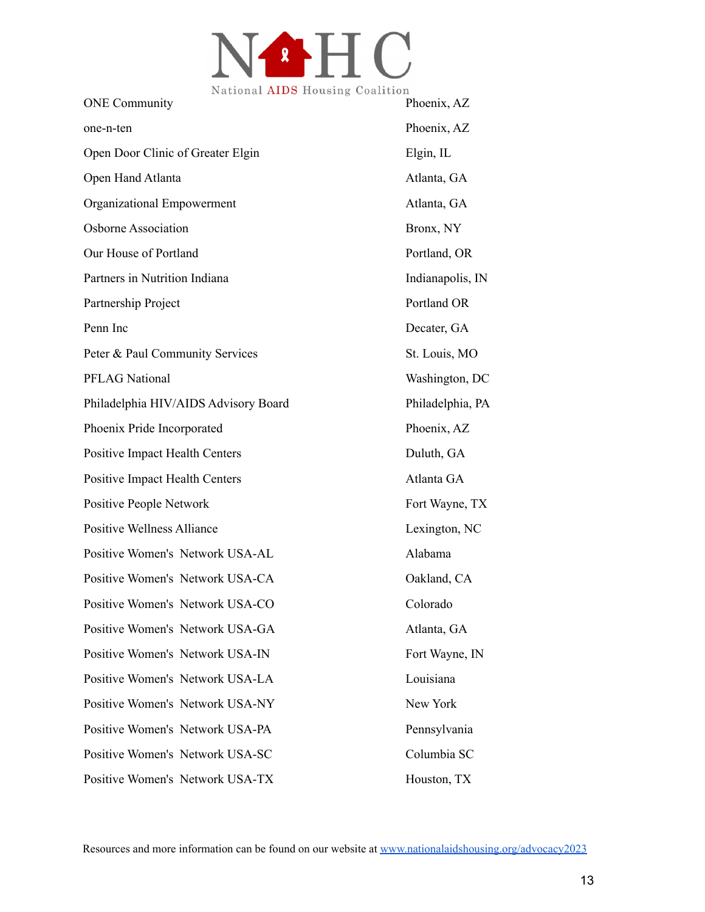

| <b>ONE</b> Community                  | Phoenix, AZ      |
|---------------------------------------|------------------|
| one-n-ten                             | Phoenix, AZ      |
| Open Door Clinic of Greater Elgin     | Elgin, IL        |
| Open Hand Atlanta                     | Atlanta, GA      |
| Organizational Empowerment            | Atlanta, GA      |
| <b>Osborne Association</b>            | Bronx, NY        |
| Our House of Portland                 | Portland, OR     |
| Partners in Nutrition Indiana         | Indianapolis, IN |
| Partnership Project                   | Portland OR      |
| Penn Inc                              | Decater, GA      |
| Peter & Paul Community Services       | St. Louis, MO    |
| <b>PFLAG National</b>                 | Washington, DC   |
| Philadelphia HIV/AIDS Advisory Board  | Philadelphia, PA |
| Phoenix Pride Incorporated            | Phoenix, AZ      |
| <b>Positive Impact Health Centers</b> | Duluth, GA       |
| <b>Positive Impact Health Centers</b> | Atlanta GA       |
| Positive People Network               | Fort Wayne, TX   |
| <b>Positive Wellness Alliance</b>     | Lexington, NC    |
| Positive Women's Network USA-AL       | Alabama          |
| Positive Women's Network USA-CA       | Oakland, CA      |
| Positive Women's Network USA-CO       | Colorado         |
| Positive Women's Network USA-GA       | Atlanta, GA      |
| Positive Women's Network USA-IN       | Fort Wayne, IN   |
| Positive Women's Network USA-LA       | Louisiana        |
| Positive Women's Network USA-NY       | New York         |
| Positive Women's Network USA-PA       | Pennsylvania     |
| Positive Women's Network USA-SC       | Columbia SC      |
| Positive Women's Network USA-TX       | Houston, TX      |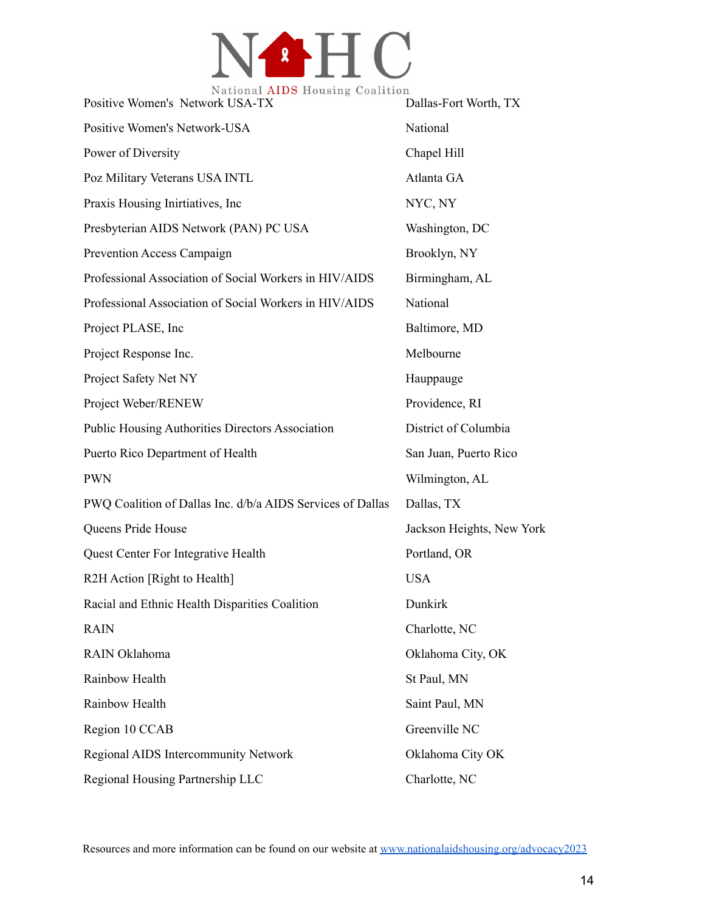

| Ivational AIDD flousing Coafferon<br>Positive Women's Network USA-TX | Dallas-Fort Worth, TX     |
|----------------------------------------------------------------------|---------------------------|
| Positive Women's Network-USA                                         | National                  |
| Power of Diversity                                                   | Chapel Hill               |
| Poz Military Veterans USA INTL                                       | Atlanta GA                |
| Praxis Housing Inirtiatives, Inc.                                    | NYC, NY                   |
| Presbyterian AIDS Network (PAN) PC USA                               | Washington, DC            |
| Prevention Access Campaign                                           | Brooklyn, NY              |
| Professional Association of Social Workers in HIV/AIDS               | Birmingham, AL            |
| Professional Association of Social Workers in HIV/AIDS               | National                  |
| Project PLASE, Inc.                                                  | Baltimore, MD             |
| Project Response Inc.                                                | Melbourne                 |
| Project Safety Net NY                                                | Hauppauge                 |
| Project Weber/RENEW                                                  | Providence, RI            |
| <b>Public Housing Authorities Directors Association</b>              | District of Columbia      |
| Puerto Rico Department of Health                                     | San Juan, Puerto Rico     |
| <b>PWN</b>                                                           | Wilmington, AL            |
| PWQ Coalition of Dallas Inc. d/b/a AIDS Services of Dallas           | Dallas, TX                |
| Queens Pride House                                                   | Jackson Heights, New York |
| <b>Quest Center For Integrative Health</b>                           | Portland, OR              |
| R2H Action [Right to Health]                                         | <b>USA</b>                |
| Racial and Ethnic Health Disparities Coalition                       | Dunkirk                   |
| <b>RAIN</b>                                                          | Charlotte, NC             |
| RAIN Oklahoma                                                        | Oklahoma City, OK         |
| Rainbow Health                                                       | St Paul, MN               |
| Rainbow Health                                                       | Saint Paul, MN            |
| Region 10 CCAB                                                       | Greenville NC             |
| Regional AIDS Intercommunity Network                                 | Oklahoma City OK          |
| Regional Housing Partnership LLC                                     | Charlotte, NC             |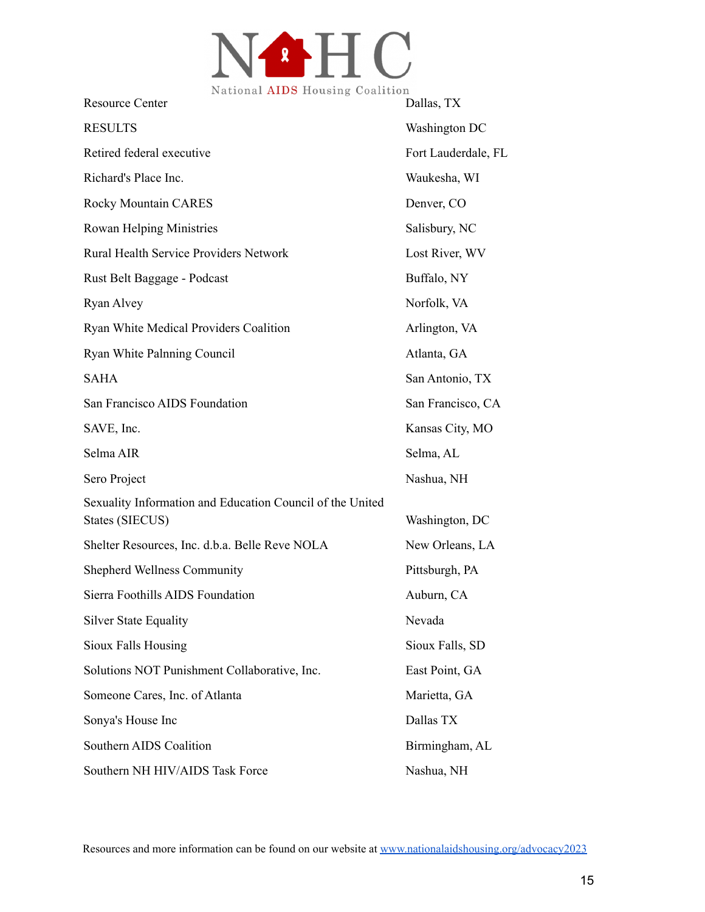

| <b>Resource Center</b>                                                       | Dallas, TX          |
|------------------------------------------------------------------------------|---------------------|
| <b>RESULTS</b>                                                               | Washington DC       |
| Retired federal executive                                                    | Fort Lauderdale, FL |
| Richard's Place Inc.                                                         | Waukesha, WI        |
| Rocky Mountain CARES                                                         | Denver, CO          |
| <b>Rowan Helping Ministries</b>                                              | Salisbury, NC       |
| Rural Health Service Providers Network                                       | Lost River, WV      |
| Rust Belt Baggage - Podcast                                                  | Buffalo, NY         |
| Ryan Alvey                                                                   | Norfolk, VA         |
| Ryan White Medical Providers Coalition                                       | Arlington, VA       |
| Ryan White Palnning Council                                                  | Atlanta, GA         |
| <b>SAHA</b>                                                                  | San Antonio, TX     |
| San Francisco AIDS Foundation                                                | San Francisco, CA   |
| SAVE, Inc.                                                                   | Kansas City, MO     |
| Selma AIR                                                                    | Selma, AL           |
| Sero Project                                                                 | Nashua, NH          |
| Sexuality Information and Education Council of the United<br>States (SIECUS) | Washington, DC      |
| Shelter Resources, Inc. d.b.a. Belle Reve NOLA                               | New Orleans, LA     |
| <b>Shepherd Wellness Community</b>                                           | Pittsburgh, PA      |
| Sierra Foothills AIDS Foundation                                             | Auburn, CA          |
| <b>Silver State Equality</b>                                                 | Nevada              |
| <b>Sioux Falls Housing</b>                                                   | Sioux Falls, SD     |
| Solutions NOT Punishment Collaborative, Inc.                                 | East Point, GA      |
| Someone Cares, Inc. of Atlanta                                               | Marietta, GA        |
| Sonya's House Inc                                                            | Dallas TX           |
| Southern AIDS Coalition                                                      | Birmingham, AL      |
| Southern NH HIV/AIDS Task Force                                              | Nashua, NH          |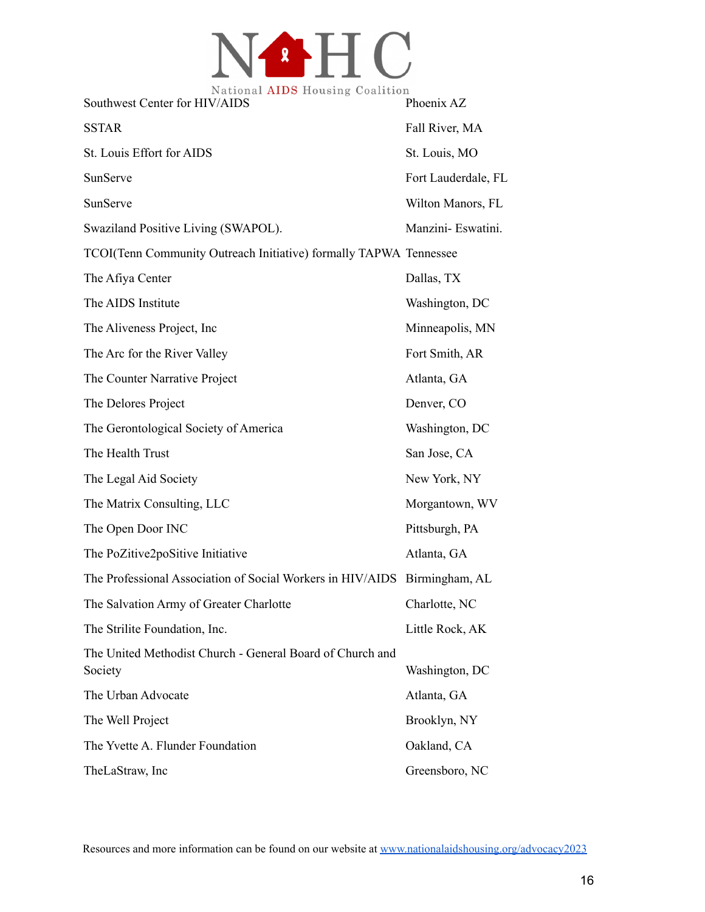

| National AIDS Housing Coalition<br>Southwest Center for HIV/AIDS          | Phoenix AZ          |
|---------------------------------------------------------------------------|---------------------|
| <b>SSTAR</b>                                                              | Fall River, MA      |
| St. Louis Effort for AIDS                                                 | St. Louis, MO       |
| SunServe                                                                  | Fort Lauderdale, FL |
| SunServe                                                                  | Wilton Manors, FL   |
| Swaziland Positive Living (SWAPOL).                                       | Manzini- Eswatini.  |
| TCOI(Tenn Community Outreach Initiative) formally TAPWA Tennessee         |                     |
| The Afiya Center                                                          | Dallas, TX          |
| The AIDS Institute                                                        | Washington, DC      |
| The Aliveness Project, Inc.                                               | Minneapolis, MN     |
| The Arc for the River Valley                                              | Fort Smith, AR      |
| The Counter Narrative Project                                             | Atlanta, GA         |
| The Delores Project                                                       | Denver, CO          |
| The Gerontological Society of America                                     | Washington, DC      |
| The Health Trust                                                          | San Jose, CA        |
| The Legal Aid Society                                                     | New York, NY        |
| The Matrix Consulting, LLC                                                | Morgantown, WV      |
| The Open Door INC                                                         | Pittsburgh, PA      |
| The PoZitive2poSitive Initiative                                          | Atlanta, GA         |
| The Professional Association of Social Workers in HIV/AIDS Birmingham, AL |                     |
| The Salvation Army of Greater Charlotte                                   | Charlotte, NC       |
| The Strilite Foundation, Inc.                                             | Little Rock, AK     |
| The United Methodist Church - General Board of Church and<br>Society      | Washington, DC      |
| The Urban Advocate                                                        | Atlanta, GA         |
| The Well Project                                                          | Brooklyn, NY        |
| The Yvette A. Flunder Foundation                                          | Oakland, CA         |
| TheLaStraw, Inc                                                           | Greensboro, NC      |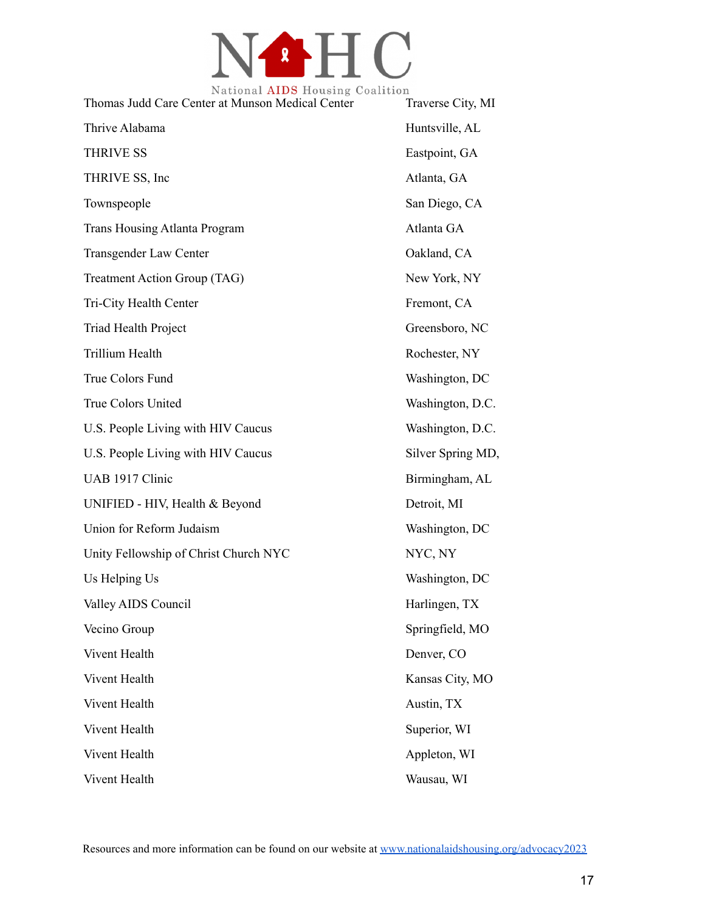

| Thomas Judd Care Center at Munson Medical Center | Traverse City, MI |
|--------------------------------------------------|-------------------|
| Thrive Alabama                                   | Huntsville, AL    |
| <b>THRIVE SS</b>                                 | Eastpoint, GA     |
| THRIVE SS, Inc                                   | Atlanta, GA       |
| Townspeople                                      | San Diego, CA     |
| <b>Trans Housing Atlanta Program</b>             | Atlanta GA        |
| <b>Transgender Law Center</b>                    | Oakland, CA       |
| Treatment Action Group (TAG)                     | New York, NY      |
| Tri-City Health Center                           | Fremont, CA       |
| Triad Health Project                             | Greensboro, NC    |
| <b>Trillium Health</b>                           | Rochester, NY     |
| True Colors Fund                                 | Washington, DC    |
| True Colors United                               | Washington, D.C.  |
| U.S. People Living with HIV Caucus               | Washington, D.C.  |
| U.S. People Living with HIV Caucus               | Silver Spring MD, |
| UAB 1917 Clinic                                  | Birmingham, AL    |
| UNIFIED - HIV, Health & Beyond                   | Detroit, MI       |
| Union for Reform Judaism                         | Washington, DC    |
| Unity Fellowship of Christ Church NYC            | NYC, NY           |
| Us Helping Us                                    | Washington, DC    |
| Valley AIDS Council                              | Harlingen, TX     |
| Vecino Group                                     | Springfield, MO   |
| Vivent Health                                    | Denver, CO        |
| Vivent Health                                    | Kansas City, MO   |
| Vivent Health                                    | Austin, TX        |
| Vivent Health                                    | Superior, WI      |
| Vivent Health                                    | Appleton, WI      |
| Vivent Health                                    | Wausau, WI        |